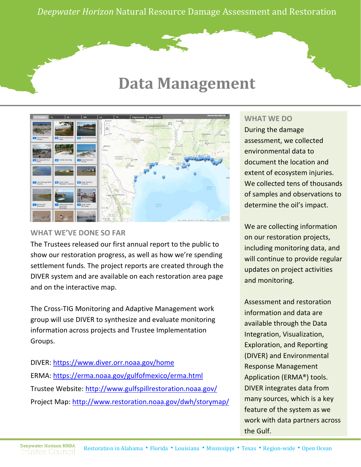*Deepwater Horizon* Natural Resource Damage Assessment and Restoration

# **Data Management**



## **WHAT WE'VE DONE SO FAR**

The Trustees released our first annual report to the public to show our restoration progress, as well as how we're spending settlement funds. The project reports are created through the DIVER system and are available on each [restoration area](http://www.gulfspillrestoration.noaa.gov/restoration-areas) page and on the [interactive map.](http://www.restoration.noaa.gov/dwh/storymap/?)

The Cross-TIG Monitoring and Adaptive Management work group will use DIVER to synthesize and evaluate monitoring information across projects and Trustee Implementation Groups.

DIVER:<https://www.diver.orr.noaa.gov/home> ERMA:<https://erma.noaa.gov/gulfofmexico/erma.html> Trustee Website:<http://www.gulfspillrestoration.noaa.gov/> Project Map:<http://www.restoration.noaa.gov/dwh/storymap/>

### **WHAT WE DO**

During the damage assessment, we collected environmental data to document the location and extent of ecosystem injuries. We collected tens of thousands of samples and observations to determine the oil's impact.

We are collecting information on our restoration projects, including monitoring data, and will continue to provide regular updates on project activities and monitoring.

Assessment and restoration information and data are available through the Data Integration, Visualization, Exploration, and Reporting (DIVER) and Environmental Response Management Application (ERMA®) tools. DIVER integrates data from many sources, which is a key feature of the system as we work with data partners across the Gulf.